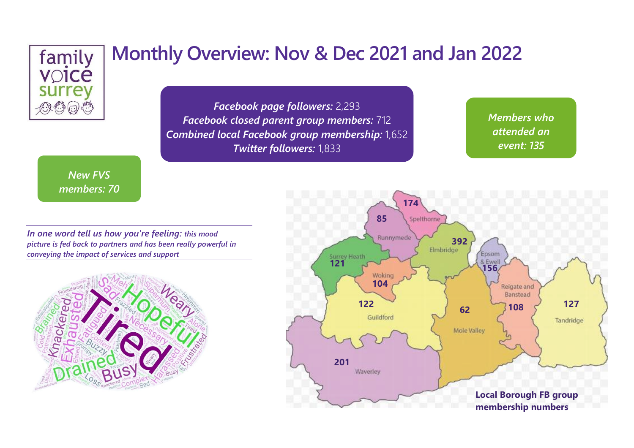

*Facebook page followers:* 2,293 *Facebook closed parent group members:* 712 *Combined local Facebook group membership:* 1,652 *Twitter followers:* 1,833

*Members who attended an event: 135*

*New FVS members: 70*

*In one word tell us how you're feeling: this mood picture is fed back to partners and has been really powerful in conveying the impact of services and support*



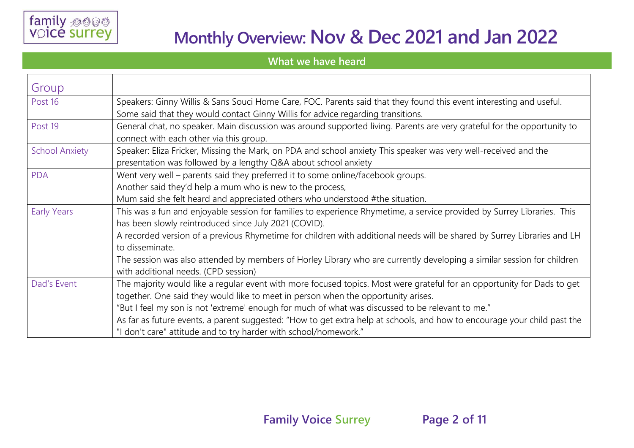**What we have heard**

| Group                 |                                                                                                                                                                                                                                                                                                                                                                                                                                                                                                                  |  |  |
|-----------------------|------------------------------------------------------------------------------------------------------------------------------------------------------------------------------------------------------------------------------------------------------------------------------------------------------------------------------------------------------------------------------------------------------------------------------------------------------------------------------------------------------------------|--|--|
| Post 16               | Speakers: Ginny Willis & Sans Souci Home Care, FOC. Parents said that they found this event interesting and useful.<br>Some said that they would contact Ginny Willis for advice regarding transitions.                                                                                                                                                                                                                                                                                                          |  |  |
| Post 19               | General chat, no speaker. Main discussion was around supported living. Parents are very grateful for the opportunity to<br>connect with each other via this group.                                                                                                                                                                                                                                                                                                                                               |  |  |
| <b>School Anxiety</b> | Speaker: Eliza Fricker, Missing the Mark, on PDA and school anxiety This speaker was very well-received and the<br>presentation was followed by a lengthy Q&A about school anxiety                                                                                                                                                                                                                                                                                                                               |  |  |
| <b>PDA</b>            | Went very well - parents said they preferred it to some online/facebook groups.<br>Another said they'd help a mum who is new to the process,<br>Mum said she felt heard and appreciated others who understood #the situation.                                                                                                                                                                                                                                                                                    |  |  |
| <b>Early Years</b>    | This was a fun and enjoyable session for families to experience Rhymetime, a service provided by Surrey Libraries. This<br>has been slowly reintroduced since July 2021 (COVID).<br>A recorded version of a previous Rhymetime for children with additional needs will be shared by Surrey Libraries and LH<br>to disseminate.<br>The session was also attended by members of Horley Library who are currently developing a similar session for children<br>with additional needs. (CPD session)                 |  |  |
| Dad's Event           | The majority would like a regular event with more focused topics. Most were grateful for an opportunity for Dads to get<br>together. One said they would like to meet in person when the opportunity arises.<br>"But I feel my son is not 'extreme' enough for much of what was discussed to be relevant to me."<br>As far as future events, a parent suggested: "How to get extra help at schools, and how to encourage your child past the<br>"I don't care" attitude and to try harder with school/homework." |  |  |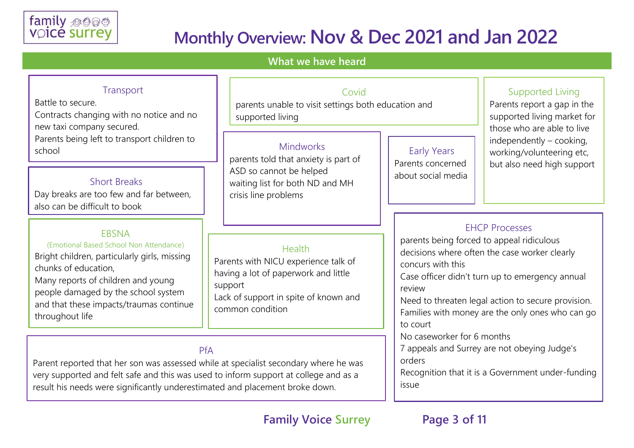

#### **What we have heard**

#### Health Parents with NICU experience talk of having a lot of paperwork and little support Lack of support in spite of known and common condition Short Breaks Day breaks are too few and far between, also can be difficult to book EBSNA (Emotional Based School Non Attendance) Bright children, particularly girls, missing chunks of education, Many reports of children and young people damaged by the school system and that these impacts/traumas continue throughout life EHCP Processes parents being forced to appeal ridiculous decisions where often the case worker clearly concurs with this Case officer didn't turn up to emergency annual review Need to threaten legal action to secure provision. Families with money are the only ones who can go to court No caseworker for 6 months 7 appeals and Surrey are not obeying Judge's orders Recognition that it is a Government under-funding issue **Transport** Battle to secure. Contracts changing with no notice and no new taxi company secured. Parents being left to transport children to school Mindworks parents told that anxiety is part of ASD so cannot be helped waiting list for both ND and MH crisis line problems Supported Living Parents report a gap in the supported living market for those who are able to live independently – cooking, working/volunteering etc, but also need high support Early Years Parents concerned about social media PfA Parent reported that her son was assessed while at specialist secondary where he was very supported and felt safe and this was used to inform support at college and as a result his needs were significantly underestimated and placement broke down. Covid parents unable to visit settings both education and supported living

**Family Voice Surrey Page 3 of 11**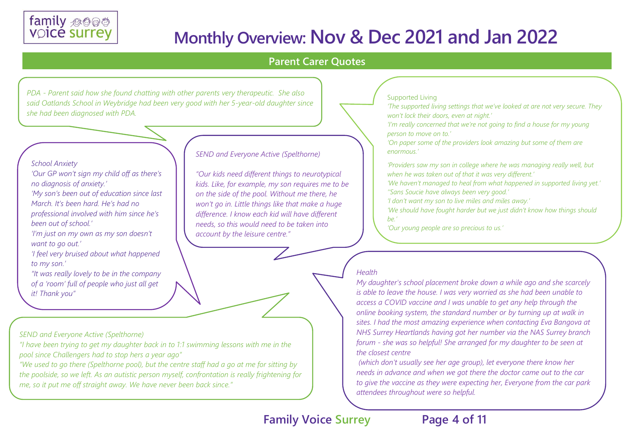

#### **Parent Carer Quotes**

*PDA - Parent said how she found chatting with other parents very therapeutic. She also said Oatlands School in Weybridge had been very good with her 5-year-old daughter since she had been diagnosed with PDA.*

#### *School Anxiety*

*'Our GP won't sign my child off as there's no diagnosis of anxiety.'* 

*'My son's been out of education since last March. It's been hard. He's had no professional involved with him since he's been out of school.'* 

*'I'm just on my own as my son doesn't want to go out.'* 

*'I feel very bruised about what happened to my son.'* 

*"It was really lovely to be in the company of a 'room' full of people who just all get* 

*it! Thank you"*

#### *SEND and Everyone Active (Spelthorne)*

*"I have been trying to get my daughter back in to 1:1 swimming lessons with me in the pool since Challengers had to stop hers a year ago"*

*"We used to go there (Spelthorne pool), but the centre staff had a go at me for sitting by the poolside, so we left. As an autistic person myself, confrontation is really frightening for me, so it put me off straight away. We have never been back since."*

#### *SEND and Everyone Active (Spelthorne)*

*"Our kids need different things to neurotypical kids. Like, for example, my son requires me to be on the side of the pool. Without me there, he won't go in. Little things like that make a huge difference. I know each kid will have different needs, so this would need to be taken into account by the leisure centre."*

#### Supported Living

*'The supported living settings that we've looked at are not very secure. They won't lock their doors, even at night.'* 

*'I'm really concerned that we're not going to find a house for my young person to move on to.'* 

*'On paper some of the providers look amazing but some of them are enormous.'* 

*'Providers saw my son in college where he was managing really well, but when he was taken out of that it was very different.'* 

*'We haven't managed to heal from what happened in supported living yet.' ''Sans Soucie have always been very good.'* 

*'I don't want my son to live miles and miles away.'* 

*'We should have fought harder but we just didn't know how things should be.'* 

*'Our young people are so precious to us.'* 

#### *Health*

*My daughter's school placement broke down a while ago and she scarcely is able to leave the house. I was very worried as she had been unable to access a COVID vaccine and I was unable to get any help through the online booking system, the standard number or by turning up at walk in sites. I had the most amazing experience when contacting Eva Bangova at NHS Surrey Heartlands having got her number via the NAS Surrey branch forum - she was so helpful! She arranged for my daughter to be seen at the closest centre*

*(which don't usually see her age group), let everyone there know her needs in advance and when we got there the doctor came out to the car to give the vaccine as they were expecting her, Everyone from the car park attendees throughout were so helpful.*

### **Family Voice Surrey Page 4 of 11**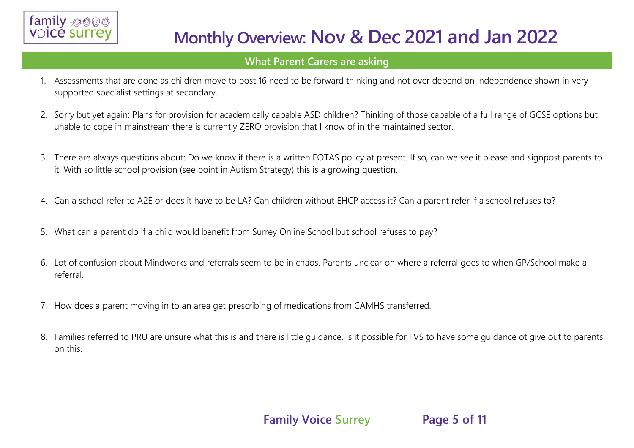

#### **What Parent Carers are asking**

- 1. Assessments that are done as children move to post 16 need to be forward thinking and not over depend on independence shown in very supported specialist settings at secondary.
- 2. Sorry but yet again: Plans for provision for academically capable ASD children? Thinking of those capable of a full range of GCSE options but unable to cope in mainstream there is currently ZERO provision that I know of in the maintained sector.
- 3. There are always questions about: Do we know if there is a written EOTAS policy at present. If so, can we see it please and signpost parents to it. With so little school provision (see point in Autism Strategy) this is a growing question.
- 4. Can a school refer to A2E or does it have to be LA? Can children without EHCP access it? Can a parent refer if a school refuses to?
- 5. What can a parent do if a child would benefit from Surrey Online School but school refuses to pay?
- 6. Lot of confusion about Mindworks and referrals seem to be in chaos. Parents unclear on where a referral goes to when GP/School make a referral.
- 7. How does a parent moving in to an area get prescribing of medications from CAMHS transferred.
- 8. Families referred to PRU are unsure what this is and there is little guidance. Is it possible for FVS to have some guidance ot give out to parents on this.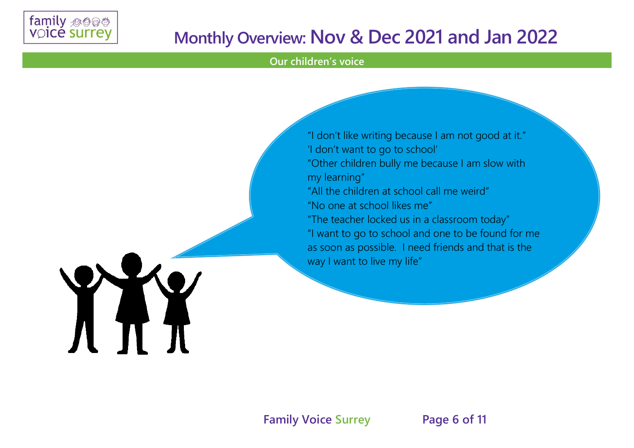

XXX

### **Monthly Overview: Nov & Dec 2021 and Jan 2022**

#### **Our children's voice**

"I don't like writing because I am not good at it." 'I don't want to go to school' "Other children bully me because I am slow with my learning" "All the children at school call me weird" "No one at school likes me" "The teacher locked us in a classroom today" "I want to go to school and one to be found for me as soon as possible. I need friends and that is the way I want to live my life"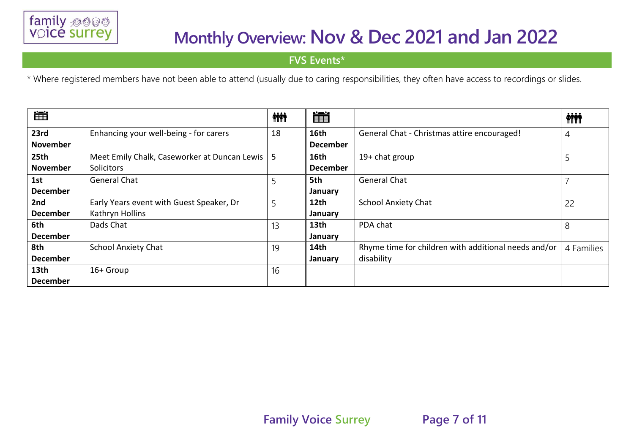

**FVS Events\***

\* Where registered members have not been able to attend (usually due to caring responsibilities, they often have access to recordings or slides.

| 崖                |                                              | <b>iii</b> | 簠                |                                                      | <b>ini</b> |
|------------------|----------------------------------------------|------------|------------------|------------------------------------------------------|------------|
| 23rd             | Enhancing your well-being - for carers       | 18         | 16th             | General Chat - Christmas attire encouraged!          | 4          |
| <b>November</b>  |                                              |            | <b>December</b>  |                                                      |            |
| 25th             | Meet Emily Chalk, Caseworker at Duncan Lewis | 5          | 16th             | $19+$ chat group                                     |            |
| <b>November</b>  | <b>Solicitors</b>                            |            | <b>December</b>  |                                                      |            |
| 1st              | General Chat                                 |            | 5th              | <b>General Chat</b>                                  |            |
| <b>December</b>  |                                              |            | January          |                                                      |            |
| 2nd              | Early Years event with Guest Speaker, Dr     | 5          | 12th             | <b>School Anxiety Chat</b>                           | 22         |
| <b>December</b>  | Kathryn Hollins                              |            | January          |                                                      |            |
| 6th              | Dads Chat                                    | 13         | 13 <sub>th</sub> | PDA chat                                             | 8          |
| <b>December</b>  |                                              |            | January          |                                                      |            |
| 8th              | <b>School Anxiety Chat</b>                   | 19         | 14th             | Rhyme time for children with additional needs and/or | 4 Families |
| <b>December</b>  |                                              |            | January          | disability                                           |            |
| 13 <sub>th</sub> | 16+ Group                                    | 16         |                  |                                                      |            |
| <b>December</b>  |                                              |            |                  |                                                      |            |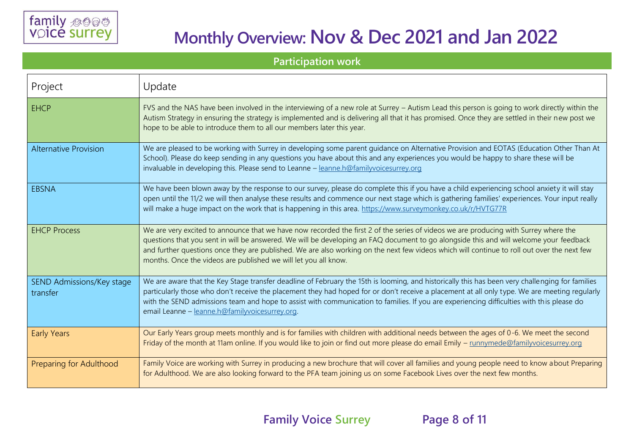#### **Participation work**

| Project                               | Update                                                                                                                                                                                                                                                                                                                                                                                                                                                                                           |
|---------------------------------------|--------------------------------------------------------------------------------------------------------------------------------------------------------------------------------------------------------------------------------------------------------------------------------------------------------------------------------------------------------------------------------------------------------------------------------------------------------------------------------------------------|
| <b>EHCP</b>                           | FVS and the NAS have been involved in the interviewing of a new role at Surrey – Autism Lead this person is going to work directly within the<br>Autism Strategy in ensuring the strategy is implemented and is delivering all that it has promised. Once they are settled in their new post we<br>hope to be able to introduce them to all our members later this year.                                                                                                                         |
| <b>Alternative Provision</b>          | We are pleased to be working with Surrey in developing some parent guidance on Alternative Provision and EOTAS (Education Other Than At<br>School). Please do keep sending in any questions you have about this and any experiences you would be happy to share these will be<br>invaluable in developing this. Please send to Leanne - leanne.h@familyvoicesurrey.org                                                                                                                           |
| <b>EBSNA</b>                          | We have been blown away by the response to our survey, please do complete this if you have a child experiencing school anxiety it will stay<br>open until the 11/2 we will then analyse these results and commence our next stage which is gathering families' experiences. Your input really<br>will make a huge impact on the work that is happening in this area. https://www.surveymonkey.co.uk/r/HVTG77R                                                                                    |
| <b>EHCP Process</b>                   | We are very excited to announce that we have now recorded the first 2 of the series of videos we are producing with Surrey where the<br>questions that you sent in will be answered. We will be developing an FAQ document to go alongside this and will welcome your feedback<br>and further questions once they are published. We are also working on the next few videos which will continue to roll out over the next few<br>months. Once the videos are published we will let you all know. |
| SEND Admissions/Key stage<br>transfer | We are aware that the Key Stage transfer deadline of February the 15th is looming, and historically this has been very challenging for families<br>particularly those who don't receive the placement they had hoped for or don't receive a placement at all only type. We are meeting regularly<br>with the SEND admissions team and hope to assist with communication to families. If you are experiencing difficulties with this please do<br>email Leanne - leanne.h@familyvoicesurrey.org.  |
| <b>Early Years</b>                    | Our Early Years group meets monthly and is for families with children with additional needs between the ages of 0-6. We meet the second<br>Friday of the month at 11am online. If you would like to join or find out more please do email Emily - runnymede@familyvoicesurrey.org                                                                                                                                                                                                                |
| Preparing for Adulthood               | Family Voice are working with Surrey in producing a new brochure that will cover all families and young people need to know about Preparing<br>for Adulthood. We are also looking forward to the PFA team joining us on some Facebook Lives over the next few months.                                                                                                                                                                                                                            |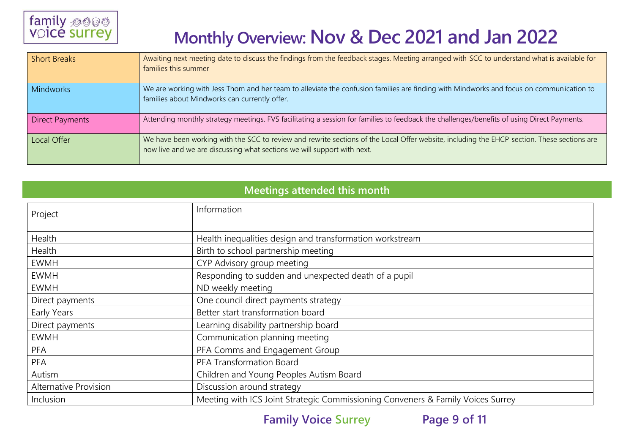

| <b>Short Breaks</b>    | Awaiting next meeting date to discuss the findings from the feedback stages. Meeting arranged with SCC to understand what is available for<br>families this summer                                                     |
|------------------------|------------------------------------------------------------------------------------------------------------------------------------------------------------------------------------------------------------------------|
| <b>Mindworks</b>       | We are working with Jess Thom and her team to alleviate the confusion families are finding with Mindworks and focus on communication to<br>families about Mindworks can currently offer.                               |
| <b>Direct Payments</b> | Attending monthly strategy meetings. FVS facilitating a session for families to feedback the challenges/benefits of using Direct Payments.                                                                             |
| Local Offer            | We have been working with the SCC to review and rewrite sections of the Local Offer website, including the EHCP section. These sections are<br>now live and we are discussing what sections we will support with next. |

### **Meetings attended this month**

| Project                      | Information                                                                     |
|------------------------------|---------------------------------------------------------------------------------|
| Health                       | Health inequalities design and transformation workstream                        |
| Health                       | Birth to school partnership meeting                                             |
| <b>EWMH</b>                  | CYP Advisory group meeting                                                      |
| <b>EWMH</b>                  | Responding to sudden and unexpected death of a pupil                            |
| <b>EWMH</b>                  | ND weekly meeting                                                               |
| Direct payments              | One council direct payments strategy                                            |
| Early Years                  | Better start transformation board                                               |
| Direct payments              | Learning disability partnership board                                           |
| <b>EWMH</b>                  | Communication planning meeting                                                  |
| <b>PFA</b>                   | PFA Comms and Engagement Group                                                  |
| PFA                          | PFA Transformation Board                                                        |
| Autism                       | Children and Young Peoples Autism Board                                         |
| <b>Alternative Provision</b> | Discussion around strategy                                                      |
| Inclusion                    | Meeting with ICS Joint Strategic Commissioning Conveners & Family Voices Surrey |

**Family Voice Surrey Page 9 of 11**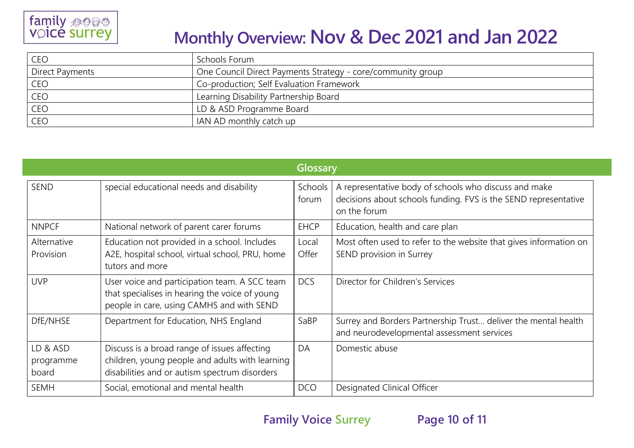

| CEO             | Schools Forum                                               |
|-----------------|-------------------------------------------------------------|
| Direct Payments | One Council Direct Payments Strategy - core/community group |
| CEO             | Co-production; Self Evaluation Framework                    |
| CEO             | Learning Disability Partnership Board                       |
| CEO             | LD & ASD Programme Board                                    |
| CEO             | IAN AD monthly catch up                                     |

|                                |                                                                                                                                                  | Glossary         |                                                                                                                                          |
|--------------------------------|--------------------------------------------------------------------------------------------------------------------------------------------------|------------------|------------------------------------------------------------------------------------------------------------------------------------------|
| <b>SEND</b>                    | special educational needs and disability                                                                                                         | Schools<br>forum | A representative body of schools who discuss and make<br>decisions about schools funding. FVS is the SEND representative<br>on the forum |
| <b>NNPCF</b>                   | National network of parent carer forums                                                                                                          | <b>EHCP</b>      | Education, health and care plan                                                                                                          |
| Alternative<br>Provision       | Education not provided in a school. Includes<br>A2E, hospital school, virtual school, PRU, home<br>tutors and more                               | Local<br>Offer   | Most often used to refer to the website that gives information on<br>SEND provision in Surrey                                            |
| <b>UVP</b>                     | User voice and participation team. A SCC team<br>that specialises in hearing the voice of young<br>people in care, using CAMHS and with SEND     | <b>DCS</b>       | Director for Children's Services                                                                                                         |
| DfE/NHSE                       | Department for Education, NHS England                                                                                                            | SaBP             | Surrey and Borders Partnership Trust deliver the mental health<br>and neurodevelopmental assessment services                             |
| LD & ASD<br>programme<br>board | Discuss is a broad range of issues affecting<br>children, young people and adults with learning<br>disabilities and or autism spectrum disorders | DA               | Domestic abuse                                                                                                                           |
| <b>SEMH</b>                    | Social, emotional and mental health                                                                                                              | <b>DCO</b>       | Designated Clinical Officer                                                                                                              |

**Family Voice Surrey Page 10 of 11**